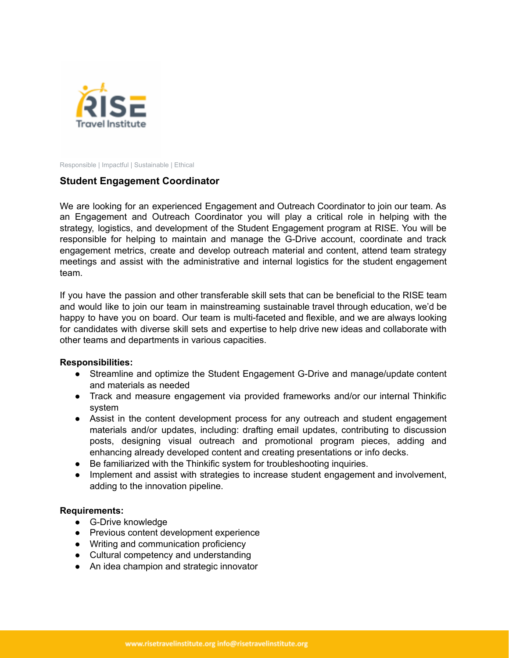

Responsible | Impactful | Sustainable | Ethical

## **Student Engagement Coordinator**

We are looking for an experienced Engagement and Outreach Coordinator to join our team. As an Engagement and Outreach Coordinator you will play a critical role in helping with the strategy, logistics, and development of the Student Engagement program at RISE. You will be responsible for helping to maintain and manage the G-Drive account, coordinate and track engagement metrics, create and develop outreach material and content, attend team strategy meetings and assist with the administrative and internal logistics for the student engagement team.

If you have the passion and other transferable skill sets that can be beneficial to the RISE team and would like to join our team in mainstreaming sustainable travel through education, we'd be happy to have you on board. Our team is multi-faceted and flexible, and we are always looking for candidates with diverse skill sets and expertise to help drive new ideas and collaborate with other teams and departments in various capacities.

## **Responsibilities:**

- Streamline and optimize the Student Engagement G-Drive and manage/update content and materials as needed
- Track and measure engagement via provided frameworks and/or our internal Thinkific system
- Assist in the content development process for any outreach and student engagement materials and/or updates, including: drafting email updates, contributing to discussion posts, designing visual outreach and promotional program pieces, adding and enhancing already developed content and creating presentations or info decks.
- Be familiarized with the Thinkific system for troubleshooting inquiries.
- Implement and assist with strategies to increase student engagement and involvement, adding to the innovation pipeline.

## **Requirements:**

- G-Drive knowledge
- Previous content development experience
- Writing and communication proficiency
- Cultural competency and understanding
- An idea champion and strategic innovator